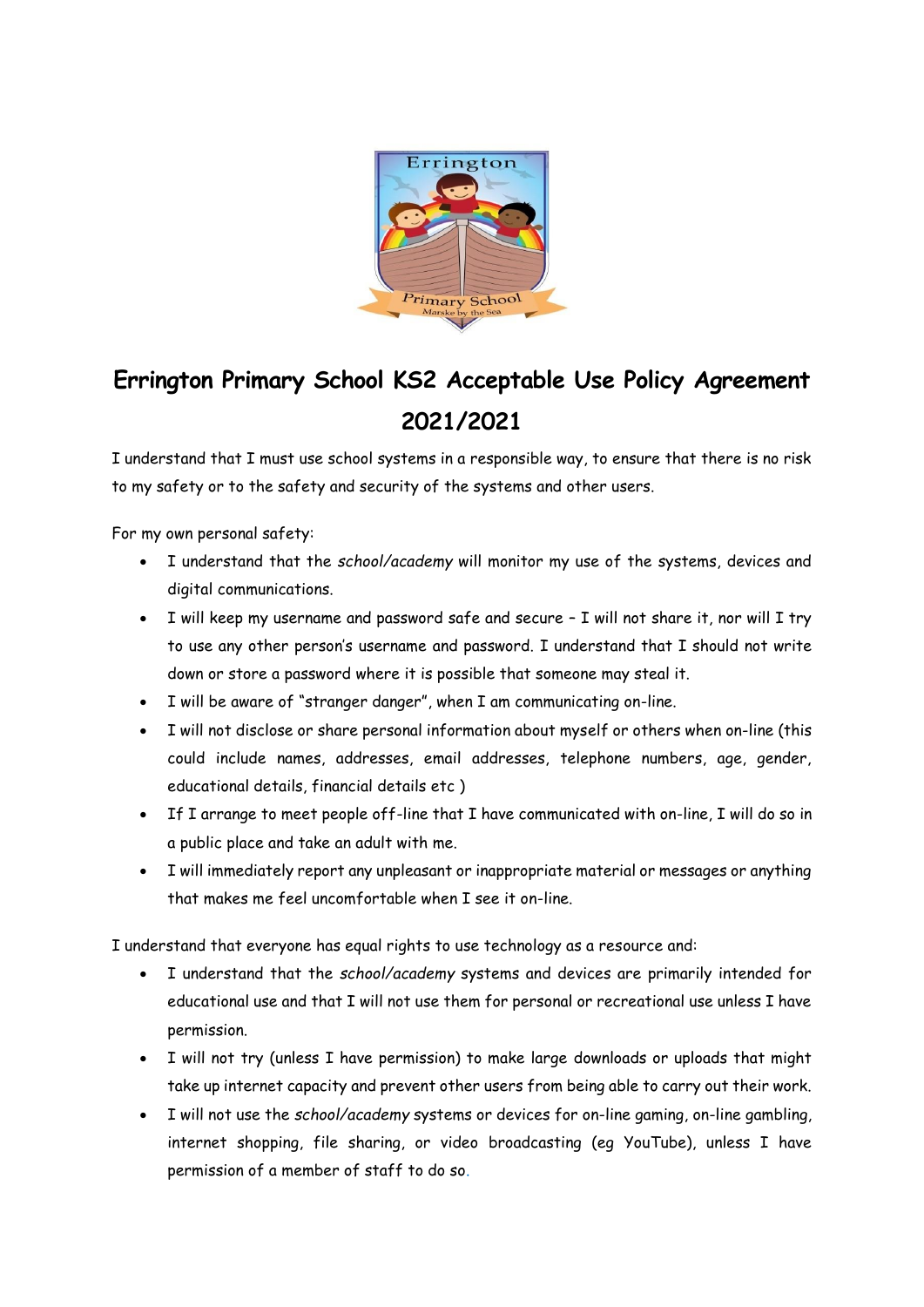

## **Errington Primary School KS2 Acceptable Use Policy Agreement 2021/2021**

I understand that I must use school systems in a responsible way, to ensure that there is no risk to my safety or to the safety and security of the systems and other users.

For my own personal safety:

- I understand that the *school/academy* will monitor my use of the systems, devices and digital communications.
- I will keep my username and password safe and secure I will not share it, nor will I try to use any other person's username and password. I understand that I should not write down or store a password where it is possible that someone may steal it.
- I will be aware of "stranger danger", when I am communicating on-line.
- I will not disclose or share personal information about myself or others when on-line (this could include names, addresses, email addresses, telephone numbers, age, gender, educational details, financial details etc )
- If I arrange to meet people off-line that I have communicated with on-line, I will do so in a public place and take an adult with me.
- I will immediately report any unpleasant or inappropriate material or messages or anything that makes me feel uncomfortable when I see it on-line.

I understand that everyone has equal rights to use technology as a resource and:

- I understand that the *school/academy* systems and devices are primarily intended for educational use and that I will not use them for personal or recreational use unless I have permission.
- I will not try (unless I have permission) to make large downloads or uploads that might take up internet capacity and prevent other users from being able to carry out their work.
- I will not use the *school/academy* systems or devices for on-line gaming, on-line gambling, internet shopping, file sharing, or video broadcasting (eg YouTube), unless I have permission of a member of staff to do so.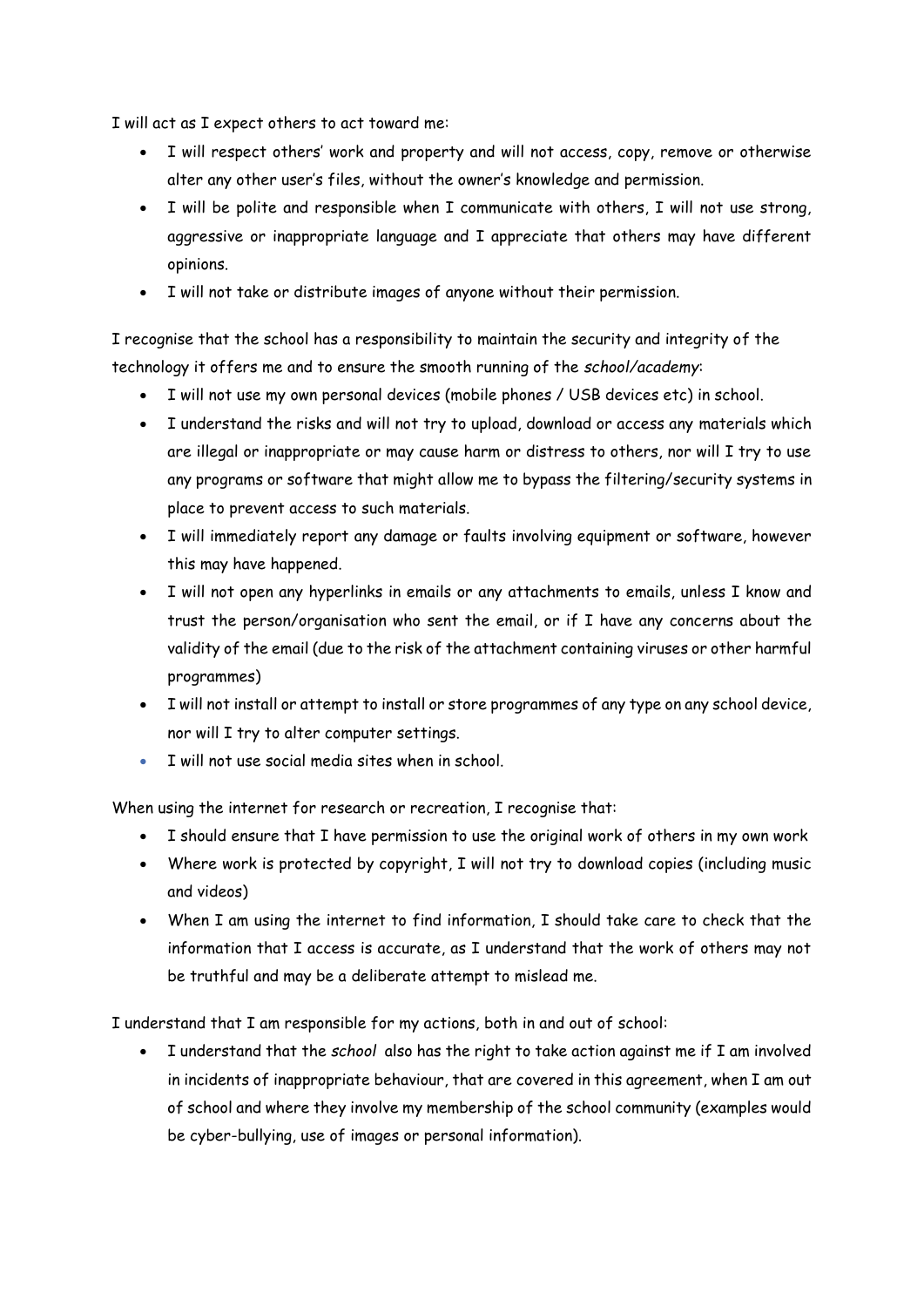I will act as I expect others to act toward me:

- I will respect others' work and property and will not access, copy, remove or otherwise alter any other user's files, without the owner's knowledge and permission.
- I will be polite and responsible when I communicate with others, I will not use strong, aggressive or inappropriate language and I appreciate that others may have different opinions.
- I will not take or distribute images of anyone without their permission.

I recognise that the school has a responsibility to maintain the security and integrity of the technology it offers me and to ensure the smooth running of the *school/academy*:

- I will not use my own personal devices (mobile phones / USB devices etc) in school.
- I understand the risks and will not try to upload, download or access any materials which are illegal or inappropriate or may cause harm or distress to others, nor will I try to use any programs or software that might allow me to bypass the filtering/security systems in place to prevent access to such materials.
- I will immediately report any damage or faults involving equipment or software, however this may have happened.
- I will not open any hyperlinks in emails or any attachments to emails, unless I know and trust the person/organisation who sent the email, or if I have any concerns about the validity of the email (due to the risk of the attachment containing viruses or other harmful programmes)
- I will not install or attempt to install or store programmes of any type on any school device, nor will I try to alter computer settings.
- I will not use social media sites when in school.

When using the internet for research or recreation, I recognise that:

- I should ensure that I have permission to use the original work of others in my own work
- Where work is protected by copyright, I will not try to download copies (including music and videos)
- When I am using the internet to find information, I should take care to check that the information that I access is accurate, as I understand that the work of others may not be truthful and may be a deliberate attempt to mislead me.

I understand that I am responsible for my actions, both in and out of school:

• I understand that the *school* also has the right to take action against me if I am involved in incidents of inappropriate behaviour, that are covered in this agreement, when I am out of school and where they involve my membership of the school community (examples would be cyber-bullying, use of images or personal information).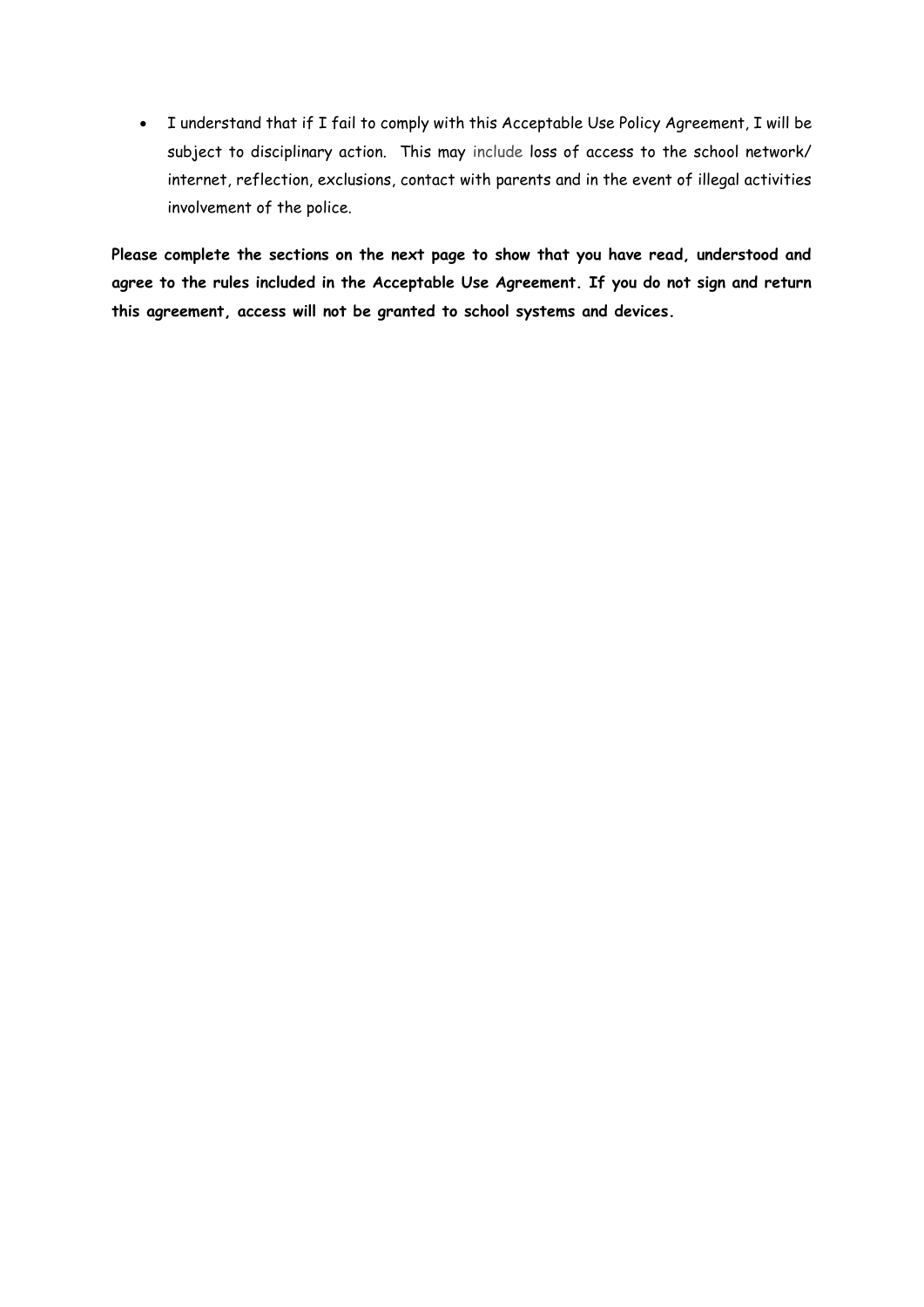• I understand that if I fail to comply with this Acceptable Use Policy Agreement, I will be subject to disciplinary action. This may include loss of access to the school network/ internet, reflection, exclusions, contact with parents and in the event of illegal activities involvement of the police.

**Please complete the sections on the next page to show that you have read, understood and agree to the rules included in the Acceptable Use Agreement. If you do not sign and return this agreement, access will not be granted to school systems and devices.**